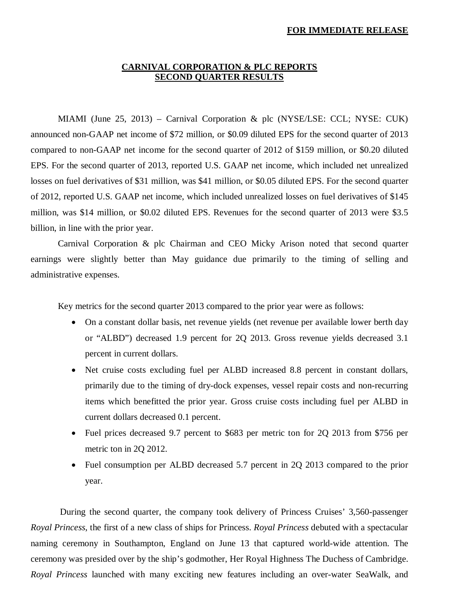#### **FOR IMMEDIATE RELEASE**

# **CARNIVAL CORPORATION & PLC REPORTS SECOND QUARTER RESULTS**

MIAMI (June 25, 2013) – Carnival Corporation & plc (NYSE/LSE: CCL; NYSE: CUK) announced non-GAAP net income of \$72 million, or \$0.09 diluted EPS for the second quarter of 2013 compared to non-GAAP net income for the second quarter of 2012 of \$159 million, or \$0.20 diluted EPS. For the second quarter of 2013, reported U.S. GAAP net income, which included net unrealized losses on fuel derivatives of \$31 million, was \$41 million, or \$0.05 diluted EPS. For the second quarter of 2012, reported U.S. GAAP net income, which included unrealized losses on fuel derivatives of \$145 million, was \$14 million, or \$0.02 diluted EPS. Revenues for the second quarter of 2013 were \$3.5 billion, in line with the prior year.

Carnival Corporation & plc Chairman and CEO Micky Arison noted that second quarter earnings were slightly better than May guidance due primarily to the timing of selling and administrative expenses.

Key metrics for the second quarter 2013 compared to the prior year were as follows:

- On a constant dollar basis, net revenue yields (net revenue per available lower berth day or "ALBD") decreased 1.9 percent for 2Q 2013. Gross revenue yields decreased 3.1 percent in current dollars.
- Net cruise costs excluding fuel per ALBD increased 8.8 percent in constant dollars, primarily due to the timing of dry-dock expenses, vessel repair costs and non-recurring items which benefitted the prior year. Gross cruise costs including fuel per ALBD in current dollars decreased 0.1 percent.
- Fuel prices decreased 9.7 percent to \$683 per metric ton for 2Q 2013 from \$756 per metric ton in 2Q 2012.
- Fuel consumption per ALBD decreased 5.7 percent in 2Q 2013 compared to the prior year.

 During the second quarter, the company took delivery of Princess Cruises' 3,560-passenger *Royal Princess*, the first of a new class of ships for Princess. *Royal Princess* debuted with a spectacular naming ceremony in Southampton, England on June 13 that captured world-wide attention. The ceremony was presided over by the ship's godmother, Her Royal Highness The Duchess of Cambridge. *Royal Princess* launched with many exciting new features including an over-water SeaWalk, and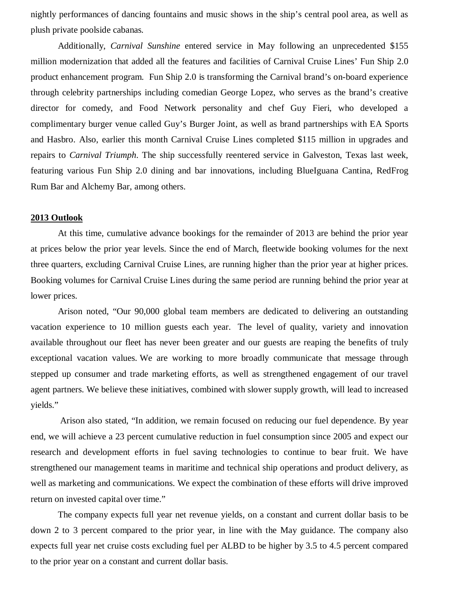nightly performances of dancing fountains and music shows in the ship's central pool area, as well as plush private poolside cabanas*.* 

Additionally, *Carnival Sunshine* entered service in May following an unprecedented \$155 million modernization that added all the features and facilities of Carnival Cruise Lines' Fun Ship 2.0 product enhancement program. Fun Ship 2.0 is transforming the Carnival brand's on-board experience through celebrity partnerships including comedian George Lopez, who serves as the brand's creative director for comedy, and Food Network personality and chef Guy Fieri, who developed a complimentary burger venue called Guy's Burger Joint, as well as brand partnerships with EA Sports and Hasbro. Also, earlier this month Carnival Cruise Lines completed \$115 million in upgrades and repairs to *Carnival Triumph*. The ship successfully reentered service in Galveston, Texas last week, featuring various Fun Ship 2.0 dining and bar innovations, including BlueIguana Cantina, RedFrog Rum Bar and Alchemy Bar, among others.

#### **2013 Outlook**

At this time, cumulative advance bookings for the remainder of 2013 are behind the prior year at prices below the prior year levels. Since the end of March, fleetwide booking volumes for the next three quarters, excluding Carnival Cruise Lines, are running higher than the prior year at higher prices. Booking volumes for Carnival Cruise Lines during the same period are running behind the prior year at lower prices.

Arison noted, "Our 90,000 global team members are dedicated to delivering an outstanding vacation experience to 10 million guests each year. The level of quality, variety and innovation available throughout our fleet has never been greater and our guests are reaping the benefits of truly exceptional vacation values. We are working to more broadly communicate that message through stepped up consumer and trade marketing efforts, as well as strengthened engagement of our travel agent partners. We believe these initiatives, combined with slower supply growth, will lead to increased yields."

 Arison also stated, "In addition, we remain focused on reducing our fuel dependence. By year end, we will achieve a 23 percent cumulative reduction in fuel consumption since 2005 and expect our research and development efforts in fuel saving technologies to continue to bear fruit. We have strengthened our management teams in maritime and technical ship operations and product delivery, as well as marketing and communications. We expect the combination of these efforts will drive improved return on invested capital over time."

The company expects full year net revenue yields, on a constant and current dollar basis to be down 2 to 3 percent compared to the prior year, in line with the May guidance. The company also expects full year net cruise costs excluding fuel per ALBD to be higher by 3.5 to 4.5 percent compared to the prior year on a constant and current dollar basis.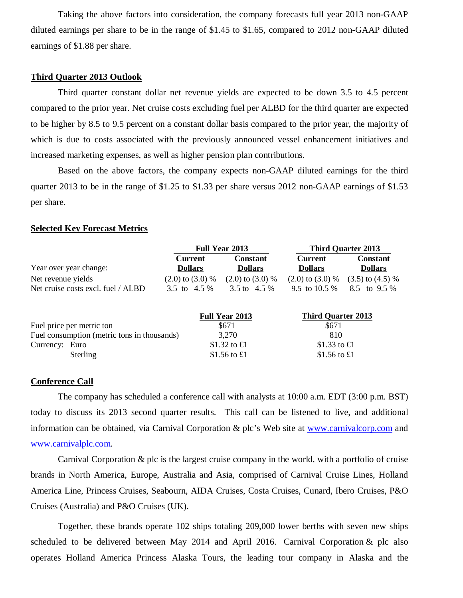Taking the above factors into consideration, the company forecasts full year 2013 non-GAAP diluted earnings per share to be in the range of \$1.45 to \$1.65, compared to 2012 non-GAAP diluted earnings of \$1.88 per share.

## **Third Quarter 2013 Outlook**

Third quarter constant dollar net revenue yields are expected to be down 3.5 to 4.5 percent compared to the prior year. Net cruise costs excluding fuel per ALBD for the third quarter are expected to be higher by 8.5 to 9.5 percent on a constant dollar basis compared to the prior year, the majority of which is due to costs associated with the previously announced vessel enhancement initiatives and increased marketing expenses, as well as higher pension plan contributions.

Based on the above factors, the company expects non-GAAP diluted earnings for the third quarter 2013 to be in the range of \$1.25 to \$1.33 per share versus 2012 non-GAAP earnings of \$1.53 per share.

## **Selected Key Forecast Metrics**

|                                             |                      | Full Year 2013                        |                           | <b>Third Quarter 2013</b>                 |  |  |  |
|---------------------------------------------|----------------------|---------------------------------------|---------------------------|-------------------------------------------|--|--|--|
|                                             | <b>Current</b>       | <b>Constant</b>                       | <b>Current</b>            | <b>Constant</b>                           |  |  |  |
| Year over year change:                      | <b>Dollars</b>       | <b>Dollars</b>                        | <b>Dollars</b>            | <b>Dollars</b>                            |  |  |  |
| Net revenue yields                          | $(2.0)$ to $(3.0)$ % | $(2.0)$ to $(3.0)$ %                  |                           | $(2.0)$ to $(3.0)$ % $(3.5)$ to $(4.5)$ % |  |  |  |
| Net cruise costs excl. fuel / ALBD          | 3.5 to 4.5 %         | 3.5 to 4.5 %                          | 9.5 to 10.5 %             | 8.5 to 9.5 %                              |  |  |  |
|                                             |                      | Full Year 2013                        | <b>Third Quarter 2013</b> |                                           |  |  |  |
| Fuel price per metric ton                   |                      | \$671<br>\$671                        |                           |                                           |  |  |  |
| Fuel consumption (metric tons in thousands) |                      | 3,270                                 | 810                       |                                           |  |  |  |
| Currency: Euro                              |                      | \$1.32 to €l<br>\$1.33 to $\bigoplus$ |                           |                                           |  |  |  |
| Sterling                                    |                      | \$1.56 to £1                          | \$1.56 to £1              |                                           |  |  |  |

#### **Conference Call**

The company has scheduled a conference call with analysts at 10:00 a.m. EDT (3:00 p.m. BST) today to discuss its 2013 second quarter results. This call can be listened to live, and additional information can be obtained, via Carnival Corporation & plc's Web site at www.carnivalcorp.com and www.carnivalplc.com.

Carnival Corporation & plc is the largest cruise company in the world, with a portfolio of cruise brands in North America, Europe, Australia and Asia, comprised of Carnival Cruise Lines, Holland America Line, Princess Cruises, Seabourn, AIDA Cruises, Costa Cruises, Cunard, Ibero Cruises, P&O Cruises (Australia) and P&O Cruises (UK).

Together, these brands operate 102 ships totaling 209,000 lower berths with seven new ships scheduled to be delivered between May 2014 and April 2016. Carnival Corporation & plc also operates Holland America Princess Alaska Tours, the leading tour company in Alaska and the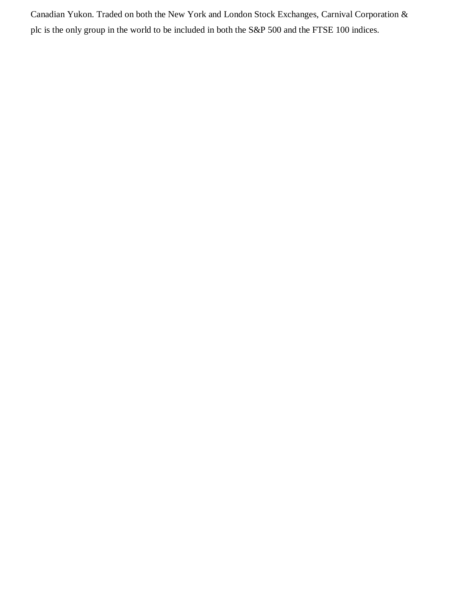Canadian Yukon. Traded on both the New York and London Stock Exchanges, Carnival Corporation & plc is the only group in the world to be included in both the S&P 500 and the FTSE 100 indices.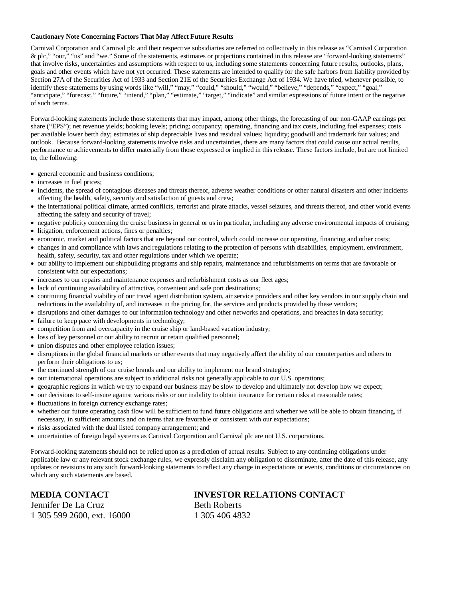#### **Cautionary Note Concerning Factors That May Affect Future Results**

Carnival Corporation and Carnival plc and their respective subsidiaries are referred to collectively in this release as "Carnival Corporation & plc," "our," "us" and "we." Some of the statements, estimates or projections contained in this release are "forward-looking statements" that involve risks, uncertainties and assumptions with respect to us, including some statements concerning future results, outlooks, plans, goals and other events which have not yet occurred. These statements are intended to qualify for the safe harbors from liability provided by Section 27A of the Securities Act of 1933 and Section 21E of the Securities Exchange Act of 1934. We have tried, whenever possible, to identify these statements by using words like "will," "may," "could," "should," "would," "believe," "depends," "expect," "goal," "anticipate," "forecast," "future," "intend," "plan," "estimate," "target," "indicate" and similar expressions of future intent or the negative of such terms.

Forward-looking statements include those statements that may impact, among other things, the forecasting of our non-GAAP earnings per share ("EPS"); net revenue yields; booking levels; pricing; occupancy; operating, financing and tax costs, including fuel expenses; costs per available lower berth day; estimates of ship depreciable lives and residual values; liquidity; goodwill and trademark fair values; and outlook. Because forward-looking statements involve risks and uncertainties, there are many factors that could cause our actual results, performance or achievements to differ materially from those expressed or implied in this release. These factors include, but are not limited to, the following:

- general economic and business conditions;
- increases in fuel prices;
- incidents, the spread of contagious diseases and threats thereof, adverse weather conditions or other natural disasters and other incidents affecting the health, safety, security and satisfaction of guests and crew;
- the international political climate, armed conflicts, terrorist and pirate attacks, vessel seizures, and threats thereof, and other world events affecting the safety and security of travel;
- negative publicity concerning the cruise business in general or us in particular, including any adverse environmental impacts of cruising;
- litigation, enforcement actions, fines or penalties;
- economic, market and political factors that are beyond our control, which could increase our operating, financing and other costs;
- changes in and compliance with laws and regulations relating to the protection of persons with disabilities, employment, environment, health, safety, security, tax and other regulations under which we operate;
- our ability to implement our shipbuilding programs and ship repairs, maintenance and refurbishments on terms that are favorable or consistent with our expectations;
- increases to our repairs and maintenance expenses and refurbishment costs as our fleet ages;
- lack of continuing availability of attractive, convenient and safe port destinations;
- continuing financial viability of our travel agent distribution system, air service providers and other key vendors in our supply chain and reductions in the availability of, and increases in the pricing for, the services and products provided by these vendors;
- disruptions and other damages to our information technology and other networks and operations, and breaches in data security;
- failure to keep pace with developments in technology;
- competition from and overcapacity in the cruise ship or land-based vacation industry;
- loss of key personnel or our ability to recruit or retain qualified personnel;
- union disputes and other employee relation issues;
- disruptions in the global financial markets or other events that may negatively affect the ability of our counterparties and others to perform their obligations to us;
- the continued strength of our cruise brands and our ability to implement our brand strategies;
- our international operations are subject to additional risks not generally applicable to our U.S. operations;
- geographic regions in which we try to expand our business may be slow to develop and ultimately not develop how we expect;
- our decisions to self-insure against various risks or our inability to obtain insurance for certain risks at reasonable rates;
- fluctuations in foreign currency exchange rates;
- whether our future operating cash flow will be sufficient to fund future obligations and whether we will be able to obtain financing, if necessary, in sufficient amounts and on terms that are favorable or consistent with our expectations;
- risks associated with the dual listed company arrangement; and
- uncertainties of foreign legal systems as Carnival Corporation and Carnival plc are not U.S. corporations.

Forward-looking statements should not be relied upon as a prediction of actual results. Subject to any continuing obligations under applicable law or any relevant stock exchange rules, we expressly disclaim any obligation to disseminate, after the date of this release, any updates or revisions to any such forward-looking statements to reflect any change in expectations or events, conditions or circumstances on which any such statements are based.

Jennifer De La Cruz Beth Roberts 1 305 599 2600, ext. 16000 1 305 406 4832

# **MEDIA CONTACT INVESTOR RELATIONS CONTACT**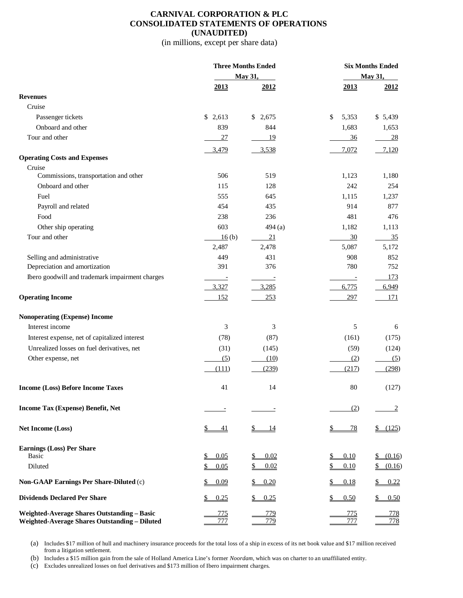# **CARNIVAL CORPORATION & PLC CONSOLIDATED STATEMENTS OF OPERATIONS (UNAUDITED)**

(in millions, except per share data)

|                                                                                              |                          | <b>Three Months Ended</b>   |                   | <b>Six Months Ended</b> |
|----------------------------------------------------------------------------------------------|--------------------------|-----------------------------|-------------------|-------------------------|
|                                                                                              |                          | May 31,                     |                   | May 31,                 |
|                                                                                              | 2013                     | 2012                        | 2013              | 2012                    |
| <b>Revenues</b>                                                                              |                          |                             |                   |                         |
| Cruise                                                                                       |                          |                             |                   |                         |
| Passenger tickets                                                                            | \$2,613                  | \$2,675                     | \$<br>5,353       | \$ 5,439                |
| Onboard and other                                                                            | 839                      | 844                         | 1,683             | 1,653                   |
| Tour and other                                                                               | 27                       | <u>19</u>                   | 36                | 28                      |
|                                                                                              | 3,479                    | 3,538                       | 7,072             | 7,120                   |
| <b>Operating Costs and Expenses</b>                                                          |                          |                             |                   |                         |
| Cruise                                                                                       |                          |                             |                   |                         |
| Commissions, transportation and other                                                        | 506                      | 519                         | 1,123             | 1,180                   |
| Onboard and other                                                                            | 115                      | 128                         | 242               | 254                     |
| Fuel                                                                                         | 555                      | 645                         | 1,115             | 1,237                   |
| Payroll and related                                                                          | 454                      | 435                         | 914               | 877                     |
| Food                                                                                         | 238                      | 236                         | 481               | 476                     |
| Other ship operating                                                                         | 603                      | 494(a)                      | 1,182             | 1,113                   |
| Tour and other                                                                               | 16(b)                    | 21                          | 30                | 35                      |
|                                                                                              | 2,487                    | 2,478                       | 5,087             | 5,172                   |
| Selling and administrative                                                                   | 449                      | 431                         | 908               | 852                     |
| Depreciation and amortization                                                                | 391                      | 376                         | 780               | 752                     |
| Ibero goodwill and trademark impairment charges                                              | $\overline{\phantom{a}}$ |                             | $\equiv$          | <u>173</u>              |
|                                                                                              | 3,327                    | 3,285                       | 6,775             | 6,949                   |
| <b>Operating Income</b>                                                                      | 152                      | 253                         | 297               | 171                     |
| <b>Nonoperating (Expense) Income</b>                                                         |                          |                             |                   |                         |
| Interest income                                                                              | 3                        | 3                           | 5                 | 6                       |
| Interest expense, net of capitalized interest                                                | (78)                     | (87)                        | (161)             | (175)                   |
| Unrealized losses on fuel derivatives, net                                                   | (31)                     | (145)                       | (59)              | (124)                   |
| Other expense, net                                                                           | (5)                      | (10)                        | (2)               | (5)                     |
|                                                                                              | (111)                    | (239)                       | (217)             | (298)                   |
|                                                                                              |                          |                             |                   |                         |
| <b>Income (Loss) Before Income Taxes</b>                                                     | 41                       | 14                          | 80                | (127)                   |
| Income Tax (Expense) Benefit, Net                                                            |                          |                             | (2)               | $\overline{2}$          |
| Net Income (Loss)                                                                            | <u>41</u>                | $\mathbb{S}^-$<br><u>14</u> | <u>78</u>         | (125)                   |
| <b>Earnings (Loss) Per Share</b>                                                             |                          |                             |                   |                         |
| Basic                                                                                        | 0.05<br>\$               | 0.02                        | 0.10              | (0.16)                  |
| Diluted                                                                                      | \$<br>0.05               | 0.02                        | \$<br>0.10        | (0.16)<br>\$            |
| Non-GAAP Earnings Per Share-Diluted (c)                                                      | \$<br>0.09               | 0.20                        | 0.18              | 0.22                    |
| <b>Dividends Declared Per Share</b>                                                          | \$<br>0.25               | 0.25                        | 0.50              | 0.50                    |
| Weighted-Average Shares Outstanding - Basic<br>Weighted-Average Shares Outstanding - Diluted | <u>775</u><br>777        | 779<br>779                  | <u>775</u><br>777 | <u>778</u><br>778       |

(a) Includes \$17 million of hull and machinery insurance proceeds for the total loss of a ship in excess of its net book value and \$17 million received from a litigation settlement.

(b) Includes a \$15 million gain from the sale of Holland America Line's former *Noordam*, which was on charter to an unaffiliated entity.

(c) Excludes unrealized losses on fuel derivatives and \$173 million of Ibero impairment charges.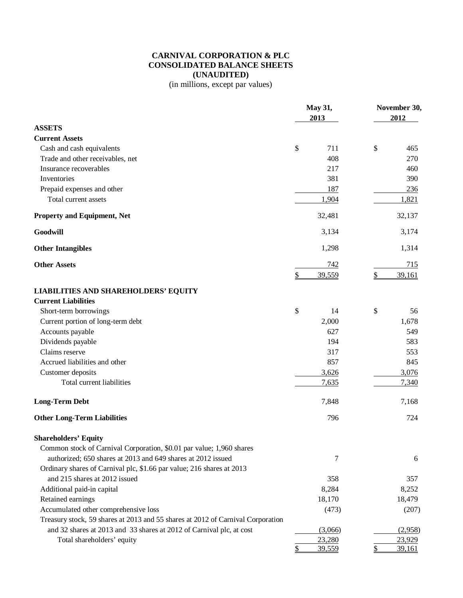# **CARNIVAL CORPORATION & PLC CONSOLIDATED BALANCE SHEETS (UNAUDITED)**

(in millions, except par values)

|                                                                                 | May 31,<br>2013 | November 30,<br>2012 |
|---------------------------------------------------------------------------------|-----------------|----------------------|
| <b>ASSETS</b>                                                                   |                 |                      |
| <b>Current Assets</b>                                                           |                 |                      |
| Cash and cash equivalents                                                       | \$<br>711       | \$<br>465            |
| Trade and other receivables, net                                                | 408             | 270                  |
| Insurance recoverables                                                          | 217             | 460                  |
| Inventories                                                                     | 381             | 390                  |
| Prepaid expenses and other                                                      | 187             | 236                  |
| Total current assets                                                            | 1,904           | 1,821                |
| <b>Property and Equipment, Net</b>                                              | 32,481          | 32,137               |
| Goodwill                                                                        | 3,134           | 3,174                |
| <b>Other Intangibles</b>                                                        | 1,298           | 1,314                |
| <b>Other Assets</b>                                                             | <u>742</u>      | 715                  |
|                                                                                 | \$<br>39,559    | \$<br>39,161         |
| <b>LIABILITIES AND SHAREHOLDERS' EQUITY</b>                                     |                 |                      |
| <b>Current Liabilities</b>                                                      |                 |                      |
| Short-term borrowings                                                           | \$<br>14        | \$<br>56             |
| Current portion of long-term debt                                               | 2,000           | 1,678                |
| Accounts payable                                                                | 627             | 549                  |
| Dividends payable                                                               | 194             | 583                  |
| Claims reserve                                                                  | 317             | 553                  |
| Accrued liabilities and other                                                   | 857             | 845                  |
| Customer deposits                                                               | 3,626           | 3,076                |
| Total current liabilities                                                       | 7,635           | 7,340                |
| <b>Long-Term Debt</b>                                                           | 7,848           | 7,168                |
| <b>Other Long-Term Liabilities</b>                                              | 796             | 724                  |
| <b>Shareholders' Equity</b>                                                     |                 |                      |
| Common stock of Carnival Corporation, \$0.01 par value; 1,960 shares            |                 |                      |
| authorized; 650 shares at 2013 and 649 shares at 2012 issued                    | 7               | 6                    |
| Ordinary shares of Carnival plc, \$1.66 par value; 216 shares at 2013           |                 |                      |
| and 215 shares at 2012 issued                                                   | 358             | 357                  |
| Additional paid-in capital                                                      | 8,284           | 8,252                |
| Retained earnings                                                               | 18,170          | 18,479               |
| Accumulated other comprehensive loss                                            | (473)           | (207)                |
| Treasury stock, 59 shares at 2013 and 55 shares at 2012 of Carnival Corporation |                 |                      |
| and 32 shares at 2013 and 33 shares at 2012 of Carnival plc, at cost            | (3,066)         | (2,958)              |
| Total shareholders' equity                                                      | 23,280          | 23,929               |
|                                                                                 | \$<br>39,559    | 39,161               |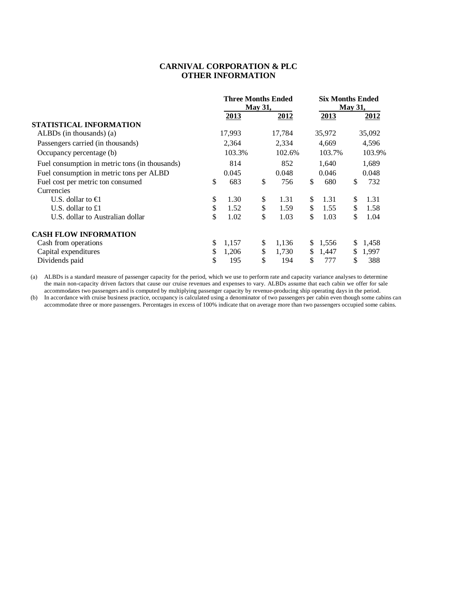## **CARNIVAL CORPORATION & PLC OTHER INFORMATION**

|                                                | <b>Three Months Ended</b> |        |    |        |    | <b>Six Months Ended</b> |    |        |  |  |
|------------------------------------------------|---------------------------|--------|----|--------|----|-------------------------|----|--------|--|--|
|                                                | <b>May 31,</b>            |        |    |        |    | <b>May 31,</b>          |    |        |  |  |
|                                                |                           | 2013   |    | 2012   |    | 2013                    |    | 2012   |  |  |
| <b>STATISTICAL INFORMATION</b>                 |                           |        |    |        |    |                         |    |        |  |  |
| ALBDs (in thousands) $(a)$                     |                           | 17,993 |    | 17,784 |    | 35,972                  |    | 35,092 |  |  |
| Passengers carried (in thousands)              |                           | 2,364  |    | 2,334  |    | 4,669                   |    | 4,596  |  |  |
| Occupancy percentage (b)                       |                           | 103.3% |    | 102.6% |    | 103.7%                  |    | 103.9% |  |  |
| Fuel consumption in metric tons (in thousands) |                           | 814    |    | 852    |    | 1,640                   |    | 1,689  |  |  |
| Fuel consumption in metric tons per ALBD       |                           | 0.045  |    | 0.048  |    | 0.046                   |    | 0.048  |  |  |
| Fuel cost per metric ton consumed              | \$                        | 683    | \$ | 756    | \$ | 680                     | \$ | 732    |  |  |
| Currencies                                     |                           |        |    |        |    |                         |    |        |  |  |
| U.S. dollar to $\bigoplus$                     | \$                        | 1.30   | \$ | 1.31   | \$ | 1.31                    | \$ | 1.31   |  |  |
| U.S. dollar to $£1$                            | \$                        | 1.52   | \$ | 1.59   | \$ | 1.55                    | \$ | 1.58   |  |  |
| U.S. dollar to Australian dollar               | \$                        | 1.02   | \$ | 1.03   | \$ | 1.03                    | \$ | 1.04   |  |  |
| <b>CASH FLOW INFORMATION</b>                   |                           |        |    |        |    |                         |    |        |  |  |
| Cash from operations                           | \$                        | 1,157  | \$ | 1,136  | \$ | 1,556                   | \$ | 1,458  |  |  |
| Capital expenditures                           | \$                        | 1,206  | \$ | 1,730  | S. | 1,447                   | \$ | 1,997  |  |  |
| Dividends paid                                 | \$                        | 195    | \$ | 194    | S  | 777                     | \$ | 388    |  |  |

(a) ALBDs is a standard measure of passenger capacity for the period, which we use to perform rate and capacity variance analyses to determine the main non-capacity driven factors that cause our cruise revenues and expenses to vary. ALBDs assume that each cabin we offer for sale accommodates two passengers and is computed by multiplying passenger capacity by revenue-producing ship operating days in the period.

(b) In accordance with cruise business practice, occupancy is calculated using a denominator of two passengers per cabin even though some cabins can accommodate three or more passengers. Percentages in excess of 100% indicate that on average more than two passengers occupied some cabins.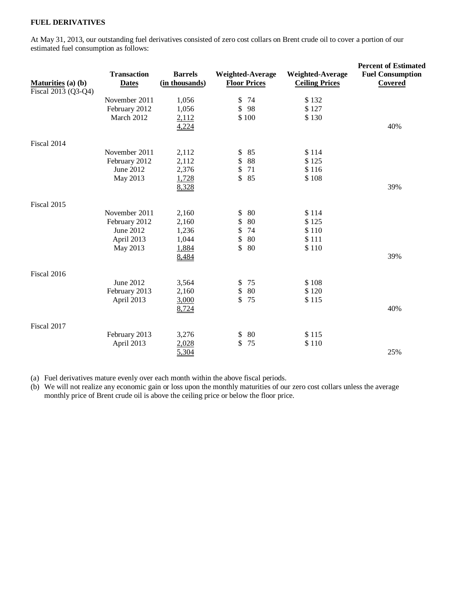# **FUEL DERIVATIVES**

At May 31, 2013, our outstanding fuel derivatives consisted of zero cost collars on Brent crude oil to cover a portion of our estimated fuel consumption as follows:

| Maturities (a) (b)<br>Fiscal 2013 (Q3-Q4) | <b>Transaction</b><br><b>Dates</b> | <b>Barrels</b><br>(in thousands) | Weighted-Average<br><b>Floor Prices</b> | <b>Weighted-Average</b><br><b>Ceiling Prices</b> | <b>Percent of Estimated</b><br><b>Fuel Consumption</b><br>Covered |
|-------------------------------------------|------------------------------------|----------------------------------|-----------------------------------------|--------------------------------------------------|-------------------------------------------------------------------|
|                                           | November 2011                      | 1,056                            | \$<br>74                                | \$132                                            |                                                                   |
|                                           | February 2012                      | 1,056                            | \$<br>98                                | \$127                                            |                                                                   |
|                                           | March 2012                         | 2,112                            | \$100                                   | \$130                                            |                                                                   |
|                                           |                                    | 4,224                            |                                         |                                                  | 40%                                                               |
| Fiscal 2014                               |                                    |                                  |                                         |                                                  |                                                                   |
|                                           | November 2011                      | 2,112                            | 85<br>\$                                | \$114                                            |                                                                   |
|                                           | February 2012                      | 2,112                            | \$<br>88                                | \$125                                            |                                                                   |
|                                           | June 2012                          | 2,376                            | \$<br>71                                | \$116                                            |                                                                   |
|                                           | May 2013                           | 1,728                            | \$<br>85                                | \$108                                            |                                                                   |
|                                           |                                    | 8,328                            |                                         |                                                  | 39%                                                               |
| Fiscal 2015                               |                                    |                                  |                                         |                                                  |                                                                   |
|                                           | November 2011                      | 2,160                            | \$<br>80                                | \$114                                            |                                                                   |
|                                           | February 2012                      | 2,160                            | \$<br>80                                | \$125                                            |                                                                   |
|                                           | June 2012                          | 1,236                            | \$<br>74                                | \$110                                            |                                                                   |
|                                           | April 2013                         | 1,044                            | \$<br>80                                | \$111                                            |                                                                   |
|                                           | May 2013                           | 1,884                            | \$<br>80                                | \$110                                            |                                                                   |
|                                           |                                    | 8,484                            |                                         |                                                  | 39%                                                               |
| Fiscal 2016                               |                                    |                                  |                                         |                                                  |                                                                   |
|                                           | June 2012                          | 3,564                            | \$<br>75                                | \$108                                            |                                                                   |
|                                           | February 2013                      | 2,160                            | \$<br>80                                | \$120                                            |                                                                   |
|                                           | April 2013                         | 3,000                            | \$<br>75                                | \$115                                            |                                                                   |
|                                           |                                    | 8,724                            |                                         |                                                  | 40%                                                               |
| Fiscal 2017                               |                                    |                                  |                                         |                                                  |                                                                   |
|                                           | February 2013                      | 3,276                            | \$<br>80                                | \$115                                            |                                                                   |
|                                           | April 2013                         | 2,028                            | \$<br>75                                | \$110                                            |                                                                   |
|                                           |                                    | 5,304                            |                                         |                                                  | 25%                                                               |

(a) Fuel derivatives mature evenly over each month within the above fiscal periods.

(b) We will not realize any economic gain or loss upon the monthly maturities of our zero cost collars unless the average monthly price of Brent crude oil is above the ceiling price or below the floor price.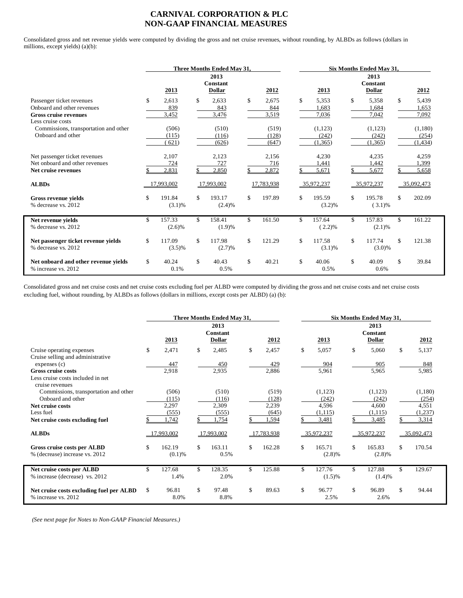## **CARNIVAL CORPORATION & PLC NON-GAAP FINANCIAL MEASURES**

Consolidated gross and net revenue yields were computed by dividing the gross and net cruise revenues, without rounding, by ALBDs as follows (dollars in millions, except yields) (a)(b):

|                                                                                                                                                                            | Three Months Ended May 31, |                                                  |    |                                                  |    |                                                  | Six Months Ended May 31, |                                                         |    |                                                          |    |                                                        |  |
|----------------------------------------------------------------------------------------------------------------------------------------------------------------------------|----------------------------|--------------------------------------------------|----|--------------------------------------------------|----|--------------------------------------------------|--------------------------|---------------------------------------------------------|----|----------------------------------------------------------|----|--------------------------------------------------------|--|
|                                                                                                                                                                            |                            | 2013                                             |    | 2013<br><b>Constant</b><br><b>Dollar</b>         |    | 2012                                             |                          | 2013                                                    |    | 2013<br>Constant<br><b>Dollar</b>                        |    | 2012                                                   |  |
| Passenger ticket revenues<br>Onboard and other revenues<br><b>Gross cruise revenues</b><br>Less cruise costs<br>Commissions, transportation and other<br>Onboard and other | \$                         | 2.613<br>839<br>3,452<br>(506)<br>(115)<br>(621) | \$ | 2,633<br>843<br>3,476<br>(510)<br>(116)<br>(626) | \$ | 2,675<br>844<br>3,519<br>(519)<br>(128)<br>(647) | \$                       | 5,353<br>1,683<br>7,036<br>(1, 123)<br>(242)<br>(1,365) | \$ | 5,358<br>1,684<br>7,042<br>(1, 123)<br>(242)<br>(1, 365) | \$ | 5,439<br>1,653<br>7,092<br>(1,180)<br>(254)<br>(1,434) |  |
| Net passenger ticket revenues<br>Net onboard and other revenues<br>Net cruise revenues<br><b>ALBDs</b>                                                                     |                            | 2,107<br>724<br>2,831<br>7,993,002               |    | 2,123<br>727<br>2,850<br>17,993,002              |    | 2,156<br>716<br>2,872<br>17,783,938              |                          | 4,230<br>1,441<br>5,671<br>35,972,237                   |    | 4,235<br>1,442<br>5,677<br>35,972,237                    |    | 4,259<br>1,399<br>5,658<br>35,092,473                  |  |
| Gross revenue yields<br>% decrease vs. 2012                                                                                                                                | \$                         | 191.84<br>$(3.1)\%$                              | \$ | 193.17<br>(2.4)%                                 | \$ | 197.89                                           | \$                       | 195.59<br>$(3.2)\%$                                     | \$ | 195.78<br>$(3.1)\%$                                      | \$ | 202.09                                                 |  |
| Net revenue vields<br>% decrease vs. 2012                                                                                                                                  | \$                         | 157.33<br>(2.6)%                                 | \$ | 158.41<br>(1.9)%                                 | \$ | 161.50                                           | \$                       | 157.64<br>(2.2)%                                        | \$ | 157.83<br>(2.1)%                                         | \$ | 161.22                                                 |  |
| Net passenger ticket revenue yields<br>% decrease vs. 2012                                                                                                                 | \$                         | 117.09<br>$(3.5)\%$                              | \$ | 117.98<br>(2.7)%                                 | \$ | 121.29                                           | \$                       | 117.58<br>$(3.1)\%$                                     | \$ | 117.74<br>$(3.0)\%$                                      | \$ | 121.38                                                 |  |
| Net onboard and other revenue yields<br>% increase vs. 2012                                                                                                                | \$                         | 40.24<br>0.1%                                    | \$ | 40.43<br>0.5%                                    | \$ | 40.21                                            | \$                       | 40.06<br>0.5%                                           | \$ | 40.09<br>0.6%                                            | \$ | 39.84                                                  |  |

Consolidated gross and net cruise costs and net cruise costs excluding fuel per ALBD were computed by dividing the gross and net cruise costs and net cruise costs excluding fuel, without rounding, by ALBDs as follows (dollars in millions, except costs per ALBD) (a) (b):

|                                                                               | Three Months Ended May 31. |                  |    |                                   |    | Six Months Ended May 31, |    |                     |              |                                   |    |              |  |
|-------------------------------------------------------------------------------|----------------------------|------------------|----|-----------------------------------|----|--------------------------|----|---------------------|--------------|-----------------------------------|----|--------------|--|
|                                                                               |                            | 2013             |    | 2013<br>Constant<br><b>Dollar</b> |    | 2012                     |    | 2013                |              | 2013<br>Constant<br><b>Dollar</b> |    | 2012         |  |
| Cruise operating expenses<br>Cruise selling and administrative<br>expenses(c) | \$                         | 2,471<br>447     | \$ | 2,485<br>450                      | \$ | 2,457<br>429             | \$ | 5,057<br>904        | \$           | 5,060<br>905                      | \$ | 5,137<br>848 |  |
| <b>Gross cruise costs</b>                                                     |                            | 2,918            |    | 2,935                             |    | 2,886                    |    | 5,961               |              | 5,965                             |    | 5,985        |  |
| Less cruise costs included in net<br>cruise revenues                          |                            |                  |    |                                   |    |                          |    |                     |              |                                   |    |              |  |
| Commissions, transportation and other                                         |                            | (506)            |    | (510)                             |    | (519)                    |    | (1, 123)            |              | (1,123)                           |    | (1,180)      |  |
| Onboard and other                                                             |                            | (115)            |    | (116)                             |    | (128)                    |    | (242)               |              | (242)                             |    | (254)        |  |
| Net cruise costs                                                              |                            | 2,297            |    | 2,309                             |    | 2,239                    |    | 4,596               |              | 4,600                             |    | 4,551        |  |
| Less fuel                                                                     |                            | (555)            |    | (555)                             |    | (645)                    |    | (1, 115)            |              | (1, 115)                          |    | (1,237)      |  |
| Net cruise costs excluding fuel                                               |                            | .742             |    | .754                              |    | .594                     |    | 3,481               |              | 3,485                             |    | 3,314        |  |
| <b>ALBDs</b>                                                                  |                            | 17,993,002       |    | 17,993,002                        |    | 17,783,938               |    | 35,972,237          |              | 35,972,237                        |    | 35,092,473   |  |
| Gross cruise costs per ALBD<br>% (decrease) increase vs. 2012                 | \$.                        | 162.19<br>(0.1)% | \$ | 163.11<br>0.5%                    | \$ | 162.28                   | \$ | 165.71<br>(2.8)%    | \$           | 165.83<br>(2.8)%                  | \$ | 170.54       |  |
| Net cruise costs per ALBD<br>% increase (decrease) vs. 2012                   | \$                         | 127.68<br>1.4%   | \$ | 128.35<br>2.0%                    | \$ | 125.88                   | \$ | 127.76<br>$(1.5)\%$ | \$           | 127.88<br>(1.4)%                  |    | 129.67       |  |
| Net cruise costs excluding fuel per ALBD<br>% increase vs. 2012               | \$                         | 96.81<br>8.0%    | \$ | 97.48<br>8.8%                     | \$ | 89.63                    | \$ | 96.77<br>2.5%       | $\mathbb{S}$ | 96.89<br>2.6%                     |    | 94.44        |  |

 *(See next page for Notes to Non-GAAP Financial Measures.)*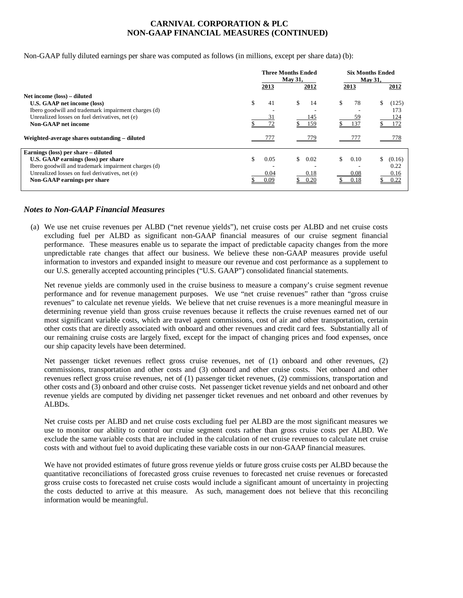#### **CARNIVAL CORPORATION & PLC NON-GAAP FINANCIAL MEASURES (CONTINUED)**

Non-GAAP fully diluted earnings per share was computed as follows (in millions, except per share data) (b):

|                                                     | <b>Three Months Ended</b><br><b>May 31.</b> |      |            |             | <b>Six Months Ended</b><br>May 31, |  |  |  |
|-----------------------------------------------------|---------------------------------------------|------|------------|-------------|------------------------------------|--|--|--|
|                                                     |                                             | 2013 | 2012       | 2013        | 2012                               |  |  |  |
| Net income (loss) – diluted                         |                                             |      |            |             |                                    |  |  |  |
| <b>U.S. GAAP net income (loss)</b>                  | S.                                          | 41   | \$<br>14   | \$<br>78    | \$<br>(125)                        |  |  |  |
| Ibero goodwill and trademark impairment charges (d) |                                             |      |            |             | 173                                |  |  |  |
| Unrealized losses on fuel derivatives, net (e)      |                                             | 31   | 145        | 59          | 124                                |  |  |  |
| <b>Non-GAAP</b> net income                          |                                             | 72   | 159        | 137         | 172                                |  |  |  |
| Weighted-average shares outstanding – diluted       |                                             | 777  | 779        |             | 778                                |  |  |  |
| Earnings (loss) per share – diluted                 |                                             |      |            |             |                                    |  |  |  |
| U.S. GAAP earnings (loss) per share                 | \$.                                         | 0.05 | \$<br>0.02 | \$.<br>0.10 | (0.16)                             |  |  |  |
| Ibero goodwill and trademark impairment charges (d) |                                             |      |            |             | 0.22                               |  |  |  |
| Unrealized losses on fuel derivatives, net (e)      |                                             | 0.04 | 0.18       | $_{0.08}$   | 0.16                               |  |  |  |
| Non-GAAP earnings per share                         |                                             | 0.09 | 0.20       | 0.18        | 0.22                               |  |  |  |

#### *Notes to Non-GAAP Financial Measures*

(a) We use net cruise revenues per ALBD ("net revenue yields"), net cruise costs per ALBD and net cruise costs excluding fuel per ALBD as significant non-GAAP financial measures of our cruise segment financial performance. These measures enable us to separate the impact of predictable capacity changes from the more unpredictable rate changes that affect our business. We believe these non-GAAP measures provide useful information to investors and expanded insight to measure our revenue and cost performance as a supplement to our U.S. generally accepted accounting principles ("U.S. GAAP") consolidated financial statements.

Net revenue yields are commonly used in the cruise business to measure a company's cruise segment revenue performance and for revenue management purposes. We use "net cruise revenues" rather than "gross cruise revenues" to calculate net revenue yields. We believe that net cruise revenues is a more meaningful measure in determining revenue yield than gross cruise revenues because it reflects the cruise revenues earned net of our most significant variable costs, which are travel agent commissions, cost of air and other transportation, certain other costs that are directly associated with onboard and other revenues and credit card fees. Substantially all of our remaining cruise costs are largely fixed, except for the impact of changing prices and food expenses, once our ship capacity levels have been determined.

Net passenger ticket revenues reflect gross cruise revenues, net of (1) onboard and other revenues, (2) commissions, transportation and other costs and (3) onboard and other cruise costs. Net onboard and other revenues reflect gross cruise revenues, net of (1) passenger ticket revenues, (2) commissions, transportation and other costs and (3) onboard and other cruise costs. Net passenger ticket revenue yields and net onboard and other revenue yields are computed by dividing net passenger ticket revenues and net onboard and other revenues by ALBDs.

Net cruise costs per ALBD and net cruise costs excluding fuel per ALBD are the most significant measures we use to monitor our ability to control our cruise segment costs rather than gross cruise costs per ALBD. We exclude the same variable costs that are included in the calculation of net cruise revenues to calculate net cruise costs with and without fuel to avoid duplicating these variable costs in our non-GAAP financial measures.

We have not provided estimates of future gross revenue yields or future gross cruise costs per ALBD because the quantitative reconciliations of forecasted gross cruise revenues to forecasted net cruise revenues or forecasted gross cruise costs to forecasted net cruise costs would include a significant amount of uncertainty in projecting the costs deducted to arrive at this measure. As such, management does not believe that this reconciling information would be meaningful.